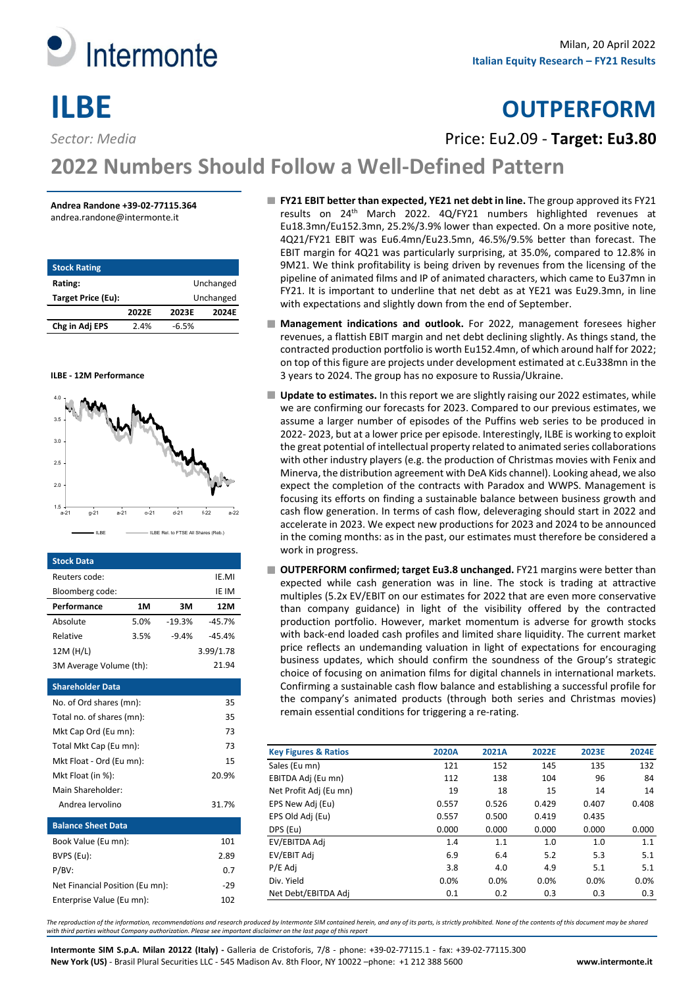

# **ILBE OUTPERFORM**

*Sector: Media* Price: Eu2.09 - **Target: Eu3.80**

# **2022 Numbers Should Follow a Well-Defined Pattern**

# **Andrea Randone +39-02-77115.364**

andrea.randone@intermonte.it

| <b>Stock Rating</b> |       |         |           |
|---------------------|-------|---------|-----------|
| Rating:             |       |         | Unchanged |
| Target Price (Eu):  |       |         | Unchanged |
|                     | 2022F | 2023F   | 2024F     |
| Chg in Adj EPS      | 2.4%  | $-6.5%$ |           |





| <b>Stock Data</b>               |      |          |           |
|---------------------------------|------|----------|-----------|
| Reuters code:                   |      |          | IE.MI     |
| Bloomberg code:                 |      |          | IE IM     |
| Performance                     | 1M   | 3M       | 12M       |
| Absolute                        | 5.0% | $-19.3%$ | $-45.7%$  |
| Relative                        | 3.5% | $-9.4%$  | $-45.4%$  |
| 12M (H/L)                       |      |          | 3.99/1.78 |
| 3M Average Volume (th):         |      |          | 21.94     |
| <b>Shareholder Data</b>         |      |          |           |
| No. of Ord shares (mn):         |      |          | 35        |
| Total no. of shares (mn):       |      |          | 35        |
| Mkt Cap Ord (Eu mn):            |      |          | 73        |
| Total Mkt Cap (Eu mn):          |      |          | 73        |
| Mkt Float - Ord (Eu mn):        |      |          | 15        |
| Mkt Float (in %):               |      |          | 20.9%     |
| Main Shareholder:               |      |          |           |
| Andrea Jervolino                |      |          | 31.7%     |
| <b>Balance Sheet Data</b>       |      |          |           |
| Book Value (Eu mn):             |      |          | 101       |
| BVPS (Eu):                      |      |          | 2.89      |
| P/BV:                           |      |          | 0.7       |
| Net Financial Position (Eu mn): |      |          | $-29$     |
| Enterprise Value (Eu mn):       |      |          | 102       |
|                                 |      |          |           |

- **FY21 EBIT better than expected, YE21 net debt in line.** The group approved its FY21 results on 24th March 2022. 4Q/FY21 numbers highlighted revenues at Eu18.3mn/Eu152.3mn, 25.2%/3.9% lower than expected. On a more positive note, 4Q21/FY21 EBIT was Eu6.4mn/Eu23.5mn, 46.5%/9.5% better than forecast. The EBIT margin for 4Q21 was particularly surprising, at 35.0%, compared to 12.8% in 9M21. We think profitability is being driven by revenues from the licensing of the pipeline of animated films and IP of animated characters, which came to Eu37mn in FY21. It is important to underline that net debt as at YE21 was Eu29.3mn, in line with expectations and slightly down from the end of September.
- **Management indications and outlook.** For 2022, management foresees higher revenues, a flattish EBIT margin and net debt declining slightly. As things stand, the contracted production portfolio is worth Eu152.4mn, of which around half for 2022; on top of this figure are projects under development estimated at c.Eu338mn in the 3 years to 2024. The group has no exposure to Russia/Ukraine.
- **Update to estimates.** In this report we are slightly raising our 2022 estimates, while we are confirming our forecasts for 2023. Compared to our previous estimates, we assume a larger number of episodes of the Puffins web series to be produced in 2022- 2023, but at a lower price per episode. Interestingly, ILBE is working to exploit the great potential of intellectual property related to animated series collaborations with other industry players (e.g. the production of Christmas movies with Fenix and Minerva, the distribution agreement with DeA Kids channel). Looking ahead, we also expect the completion of the contracts with Paradox and WWPS. Management is focusing its efforts on finding a sustainable balance between business growth and cash flow generation. In terms of cash flow, deleveraging should start in 2022 and accelerate in 2023. We expect new productions for 2023 and 2024 to be announced in the coming months: as in the past, our estimates must therefore be considered a work in progress.
- OUTPERFORM confirmed; target Eu3.8 unchanged. FY21 margins were better than expected while cash generation was in line. The stock is trading at attractive multiples (5.2x EV/EBIT on our estimates for 2022 that are even more conservative than company guidance) in light of the visibility offered by the contracted production portfolio. However, market momentum is adverse for growth stocks with back-end loaded cash profiles and limited share liquidity. The current market price reflects an undemanding valuation in light of expectations for encouraging business updates, which should confirm the soundness of the Group's strategic choice of focusing on animation films for digital channels in international markets. Confirming a sustainable cash flow balance and establishing a successful profile for the company's animated products (through both series and Christmas movies) remain essential conditions for triggering a re-rating.

| <b>Key Figures &amp; Ratios</b> | 2020A | 2021A | 2022E | 2023E | 2024E |
|---------------------------------|-------|-------|-------|-------|-------|
| Sales (Eu mn)                   | 121   | 152   | 145   | 135   | 132   |
| EBITDA Adj (Eu mn)              | 112   | 138   | 104   | 96    | 84    |
| Net Profit Adj (Eu mn)          | 19    | 18    | 15    | 14    | 14    |
| EPS New Adj (Eu)                | 0.557 | 0.526 | 0.429 | 0.407 | 0.408 |
| EPS Old Adj (Eu)                | 0.557 | 0.500 | 0.419 | 0.435 |       |
| DPS (Eu)                        | 0.000 | 0.000 | 0.000 | 0.000 | 0.000 |
| EV/EBITDA Adj                   | 1.4   | 1.1   | 1.0   | 1.0   | 1.1   |
| EV/EBIT Adj                     | 6.9   | 6.4   | 5.2   | 5.3   | 5.1   |
| P/E Adj                         | 3.8   | 4.0   | 4.9   | 5.1   | 5.1   |
| Div. Yield                      | 0.0%  | 0.0%  | 0.0%  | 0.0%  | 0.0%  |
| Net Debt/EBITDA Adj             | 0.1   | 0.2   | 0.3   | 0.3   | 0.3   |

*The reproduction of the information, recommendations and research produced by Intermonte SIM contained herein, and any of its parts, is strictly prohibited. None of the contents of this document may be shared with third parties without Company authorization. Please see important disclaimer on the last page of this report*

**Intermonte SIM S.p.A. Milan 20122 (Italy) -** Galleria de Cristoforis, 7/8 - phone: +39-02-77115.1 - fax: +39-02-77115.300 **New York (US)** - Brasil Plural Securities LLC - 545 Madison Av. 8th Floor, NY 10022 –phone: +1 212 388 5600 **[www.intermonte.it](http://www.intermonte.it/)**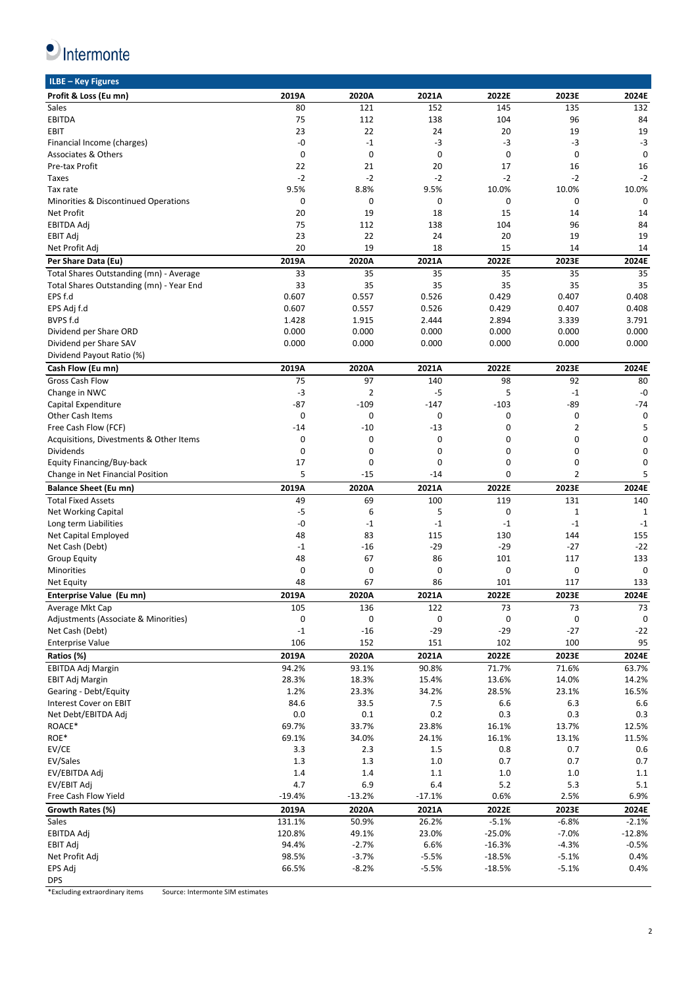

| ILBE - Key Figures                       |              |                |             |           |                |             |
|------------------------------------------|--------------|----------------|-------------|-----------|----------------|-------------|
| Profit & Loss (Eu mn)                    | 2019A        | 2020A          | 2021A       | 2022E     | 2023E          | 2024E       |
| Sales                                    | 80           | 121            | 152         | 145       | 135            | 132         |
| <b>EBITDA</b>                            | 75           | 112            | 138         | 104       | 96             | 84          |
| <b>EBIT</b>                              | 23           | 22             | 24          | 20        | 19             | 19          |
| Financial Income (charges)               | -0           | $-1$           | $-3$        | $-3$      | $-3$           | $-3$        |
| <b>Associates &amp; Others</b>           | $\mathbf{0}$ | 0              | $\mathbf 0$ | 0         | $\mathbf 0$    | $\mathbf 0$ |
|                                          |              |                |             |           |                |             |
| Pre-tax Profit                           | 22           | 21             | 20          | 17        | 16             | 16          |
| Taxes                                    | $-2$         | $-2$           | $-2$        | $-2$      | $-2$           | $-2$        |
| Tax rate                                 | 9.5%         | 8.8%           | 9.5%        | 10.0%     | 10.0%          | 10.0%       |
| Minorities & Discontinued Operations     | 0            | 0              | 0           | 0         | 0              | $\mathbf 0$ |
| <b>Net Profit</b>                        | 20           | 19             | 18          | 15        | 14             | 14          |
| <b>EBITDA Adj</b>                        | 75           | 112            | 138         | 104       | 96             | 84          |
| <b>EBIT Adj</b>                          | 23           | 22             | 24          | 20        | 19             | 19          |
| Net Profit Adj                           | 20           | 19             | 18          | 15        | 14             | 14          |
| Per Share Data (Eu)                      | 2019A        | 2020A          | 2021A       | 2022E     | 2023E          | 2024E       |
| Total Shares Outstanding (mn) - Average  | 33           | 35             | 35          | 35        | 35             | 35          |
|                                          |              |                |             |           |                |             |
| Total Shares Outstanding (mn) - Year End | 33           | 35             | 35          | 35        | 35             | 35          |
| EPS f.d                                  | 0.607        | 0.557          | 0.526       | 0.429     | 0.407          | 0.408       |
| EPS Adj f.d                              | 0.607        | 0.557          | 0.526       | 0.429     | 0.407          | 0.408       |
| BVPS f.d                                 | 1.428        | 1.915          | 2.444       | 2.894     | 3.339          | 3.791       |
| Dividend per Share ORD                   | 0.000        | 0.000          | 0.000       | 0.000     | 0.000          | 0.000       |
| Dividend per Share SAV                   | 0.000        | 0.000          | 0.000       | 0.000     | 0.000          | 0.000       |
| Dividend Payout Ratio (%)                |              |                |             |           |                |             |
| Cash Flow (Eu mn)                        | 2019A        | 2020A          | 2021A       | 2022E     | 2023E          | 2024E       |
| <b>Gross Cash Flow</b>                   | 75           | 97             | 140         | 98        | 92             | 80          |
|                                          | $-3$         | $\overline{2}$ | $-5$        | 5         | $-1$           | -0          |
| Change in NWC                            |              |                |             |           |                |             |
| Capital Expenditure                      | -87          | $-109$         | $-147$      | $-103$    | $-89$          | $-74$       |
| <b>Other Cash Items</b>                  | 0            | 0              | 0           | 0         | 0              | $\mathbf 0$ |
| Free Cash Flow (FCF)                     | $-14$        | $-10$          | $-13$       | 0         | $\overline{2}$ | 5           |
| Acquisitions, Divestments & Other Items  | $\mathbf{0}$ | 0              | 0           | 0         | 0              | $\mathbf 0$ |
| <b>Dividends</b>                         | 0            | 0              | 0           | 0         | 0              | 0           |
| Equity Financing/Buy-back                | 17           | 0              | 0           | 0         | 0              | 0           |
| Change in Net Financial Position         | 5            | $-15$          | $-14$       | 0         | 2              | 5           |
|                                          |              |                |             |           |                |             |
|                                          |              |                |             |           |                |             |
| <b>Balance Sheet (Eu mn)</b>             | 2019A        | 2020A          | 2021A       | 2022E     | 2023E          | 2024E       |
| <b>Total Fixed Assets</b>                | 49           | 69             | 100         | 119       | 131            | 140         |
| <b>Net Working Capital</b>               | $-5$         | 6              | 5           | 0         | $\mathbf{1}$   | 1           |
| Long term Liabilities                    | -0           | $-1$           | $-1$        | $-1$      | $-1$           | $-1$        |
| Net Capital Employed                     | 48           | 83             | 115         | 130       | 144            | 155         |
| Net Cash (Debt)                          | $-1$         | $-16$          | $-29$       | $-29$     | $-27$          | $-22$       |
| <b>Group Equity</b>                      | 48           | 67             | 86          | 101       | 117            | 133         |
| Minorities                               | 0            | 0              | 0           | 0         | 0              | $\mathbf 0$ |
| Net Equity                               | 48           | 67             | 86          | 101       | 117            | 133         |
| Enterprise Value (Eu mn)                 | 2019A        | 2020A          | 2021A       | 2022E     | 2023E          | 2024E       |
|                                          |              |                |             |           |                |             |
| Average Mkt Cap                          | 105          | 136            | 122         | 73        | 73             | 73          |
| Adjustments (Associate & Minorities)     | 0            | 0              | 0           | $\pmb{0}$ | $\pmb{0}$      | $\mathsf 0$ |
| Net Cash (Debt)                          | $-1$         | $-16$          | $-29$       | $-29$     | $-27$          | $-22$       |
| <b>Enterprise Value</b>                  | 106          | 152            | 151         | 102       | 100            | 95          |
| Ratios (%)                               | 2019A        | 2020A          | 2021A       | 2022E     | 2023E          | 2024E       |
| EBITDA Adj Margin                        | 94.2%        | 93.1%          | 90.8%       | 71.7%     | 71.6%          | 63.7%       |
| <b>EBIT Adj Margin</b>                   | 28.3%        | 18.3%          | 15.4%       | 13.6%     | 14.0%          | 14.2%       |
| Gearing - Debt/Equity                    | 1.2%         | 23.3%          | 34.2%       | 28.5%     | 23.1%          | 16.5%       |
| Interest Cover on EBIT                   | 84.6         | 33.5           | 7.5         | 6.6       | 6.3            | 6.6         |
|                                          | 0.0          | 0.1            | 0.2         | 0.3       | 0.3            | 0.3         |
| Net Debt/EBITDA Adj                      |              |                |             |           |                |             |
| ROACE*                                   | 69.7%        | 33.7%          | 23.8%       | 16.1%     | 13.7%          | 12.5%       |
| ROE*                                     | 69.1%        | 34.0%          | 24.1%       | 16.1%     | 13.1%          | 11.5%       |
| EV/CE                                    | 3.3          | 2.3            | 1.5         | 0.8       | 0.7            | 0.6         |
| EV/Sales                                 | 1.3          | 1.3            | 1.0         | 0.7       | 0.7            | 0.7         |
| EV/EBITDA Adj                            | 1.4          | 1.4            | 1.1         | 1.0       | 1.0            | 1.1         |
| EV/EBIT Adj                              | 4.7          | 6.9            | 6.4         | 5.2       | 5.3            | 5.1         |
| Free Cash Flow Yield                     | $-19.4%$     | $-13.2%$       | $-17.1%$    | 0.6%      | 2.5%           | 6.9%        |
| Growth Rates (%)                         | 2019A        | 2020A          | 2021A       | 2022E     | 2023E          | 2024E       |
| Sales                                    | 131.1%       | 50.9%          | 26.2%       | $-5.1%$   | $-6.8%$        | $-2.1%$     |
|                                          | 120.8%       | 49.1%          | 23.0%       | $-25.0%$  | $-7.0%$        | $-12.8%$    |
| EBITDA Adj                               |              |                |             |           |                |             |
| EBIT Adj                                 | 94.4%        | $-2.7%$        | 6.6%        | $-16.3%$  | $-4.3%$        | $-0.5%$     |
| Net Profit Adj                           | 98.5%        | $-3.7%$        | $-5.5%$     | $-18.5%$  | $-5.1%$        | 0.4%        |
| EPS Adj<br><b>DPS</b>                    | 66.5%        | $-8.2%$        | $-5.5%$     | $-18.5%$  | $-5.1%$        | 0.4%        |

\*Excluding extraordinary items Source: Intermonte SIM estimates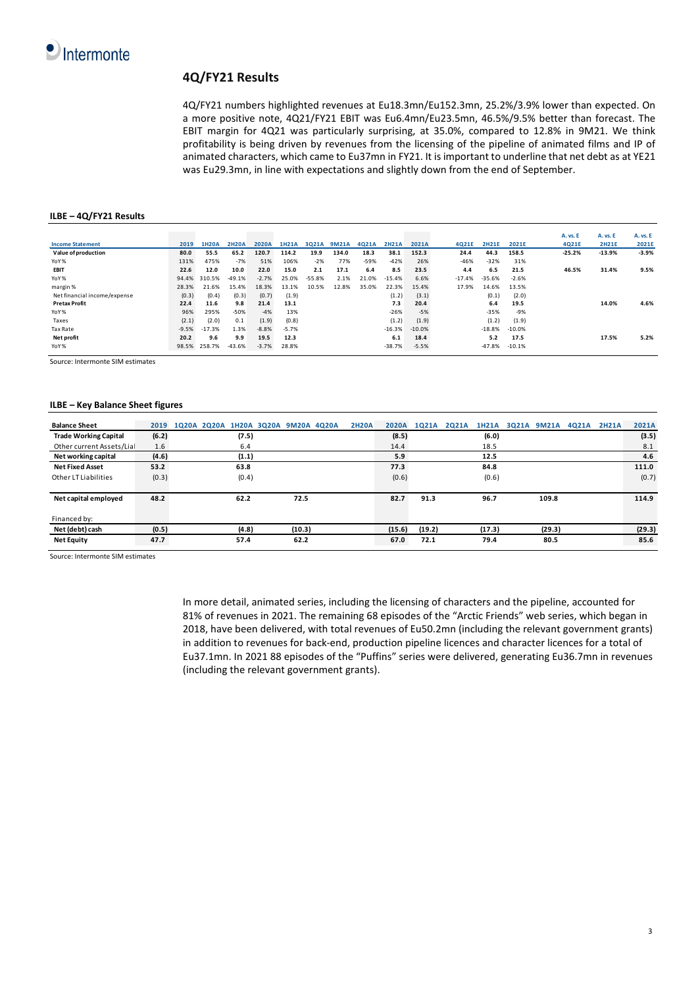

# **4Q/FY21 Results**

4Q/FY21 numbers highlighted revenues at Eu18.3mn/Eu152.3mn, 25.2%/3.9% lower than expected. On a more positive note, 4Q21/FY21 EBIT was Eu6.4mn/Eu23.5mn, 46.5%/9.5% better than forecast. The EBIT margin for 4Q21 was particularly surprising, at 35.0%, compared to 12.8% in 9M21. We think profitability is being driven by revenues from the licensing of the pipeline of animated films and IP of animated characters, which came to Eu37mn in FY21. It is important to underline that net debt as at YE21 was Eu29.3mn, in line with expectations and slightly down from the end of September.

#### **ILBE – 4Q/FY21 Results**

|         |          |              |         |              |          |              |        |              |          |          |              |          |  | A. vs. E                                                                                                                |
|---------|----------|--------------|---------|--------------|----------|--------------|--------|--------------|----------|----------|--------------|----------|--|-------------------------------------------------------------------------------------------------------------------------|
| 2019    | 1H20A    | <b>2H20A</b> | 2020A   | <b>1H21A</b> | 3021A    | <b>9M21A</b> | 4021A  | <b>2H21A</b> | 2021A    | 4021E    | <b>2H21E</b> | 2021E    |  | 2021E                                                                                                                   |
| 80.0    | 55.5     | 65.2         | 120.7   | 114.2        | 19.9     | 134.0        | 18.3   | 38.1         | 152.3    | 24.4     | 44.3         | 158.5    |  | $-3.9%$                                                                                                                 |
| 131%    | 475%     | $-7%$        | 51%     | 106%         | $-2%$    | 77%          | $-59%$ | $-42%$       | 26%      | $-46%$   | $-32%$       | 31%      |  |                                                                                                                         |
| 22.6    | 12.0     | 10.0         | 22.0    | 15.0         | 2.1      | 17.1         | 6.4    | 8.5          | 23.5     | 4.4      | 6.5          | 21.5     |  | 9.5%                                                                                                                    |
| 94.4%   | 310.5%   | $-49.1%$     | $-2.7%$ | 25.0%        | $-55.8%$ | 2.1%         | 21.0%  | $-15.4%$     | 6.6%     | $-17.4%$ | $-35.6%$     | $-2.6%$  |  |                                                                                                                         |
| 28.3%   | 21.6%    | 15.4%        | 18.3%   | 13.1%        | 10.5%    | 12.8%        | 35.0%  | 22.3%        | 15.4%    | 17.9%    | 14.6%        | 13.5%    |  |                                                                                                                         |
| (0.3)   | (0.4)    | (0.3)        | (0.7)   | (1.9)        |          |              |        | (1.2)        | (3.1)    |          | (0.1)        | (2.0)    |  |                                                                                                                         |
| 22.4    | 11.6     | 9.8          | 21.4    | 13.1         |          |              |        | 7.3          | 20.4     |          | 6.4          | 19.5     |  | 4.6%                                                                                                                    |
| 96%     | 295%     | $-50%$       | $-4%$   | 13%          |          |              |        | $-26%$       | $-5%$    |          | $-35%$       | -9%      |  |                                                                                                                         |
| (2.1)   | (2.0)    | 0.1          | (1.9)   | (0.8)        |          |              |        | (1.2)        | (1.9)    |          | (1.2)        | (1.9)    |  |                                                                                                                         |
| $-9.5%$ | $-17.3%$ | 1.3%         | $-8.8%$ | $-5.7%$      |          |              |        | $-16.3%$     | $-10.0%$ |          | $-18.8%$     | $-10.0%$ |  |                                                                                                                         |
| 20.2    | 9.6      | 9.9          | 19.5    | 12.3         |          |              |        | 6.1          | 18.4     |          | 5.2          | 17.5     |  | 5.2%                                                                                                                    |
| 98.5%   | 258.7%   | $-43.6%$     | $-3.7%$ | 28.8%        |          |              |        | $-38.7%$     | $-5.5%$  |          | $-47.8%$     | $-10.1%$ |  |                                                                                                                         |
|         |          |              |         |              |          |              |        |              |          |          |              |          |  | <b>A. vs. E</b><br><b>A. vs. E</b><br>4Q21E<br><b>2H21E</b><br>$-25.2%$<br>$-13.9%$<br>46.5%<br>31.4%<br>14.0%<br>17.5% |

Source: Intermonte SIM estimates

### **ILBE – Key Balance Sheet figures**

| <b>Balance Sheet</b>         | 2019  | 1020A 2020A 1H20A 3020A 9M20A 4020A |       |        | <b>2H2OA</b> | <b>2020A</b> | 1021A  | <b>2021A</b> | <b>1H21A</b> | 3Q21A 9M21A | 4021A | <b>2H21A</b> | 2021A  |
|------------------------------|-------|-------------------------------------|-------|--------|--------------|--------------|--------|--------------|--------------|-------------|-------|--------------|--------|
| <b>Trade Working Capital</b> | (6.2) |                                     | (7.5) |        |              | (8.5)        |        |              | (6.0)        |             |       |              | (3.5)  |
| Other current Assets/Lial    | 1.6   |                                     | 6.4   |        |              | 14.4         |        |              | 18.5         |             |       |              | 8.1    |
| Net working capital          | (4.6) |                                     | (1.1) |        |              | 5.9          |        |              | 12.5         |             |       |              | 4.6    |
| <b>Net Fixed Asset</b>       | 53.2  |                                     | 63.8  |        |              | 77.3         |        |              | 84.8         |             |       |              | 111.0  |
| Other LT Liabilities         | (0.3) |                                     | (0.4) |        |              | (0.6)        |        |              | (0.6)        |             |       |              | (0.7)  |
|                              |       |                                     |       |        |              |              |        |              |              |             |       |              |        |
| Net capital employed         | 48.2  |                                     | 62.2  | 72.5   |              | 82.7         | 91.3   |              | 96.7         | 109.8       |       |              | 114.9  |
|                              |       |                                     |       |        |              |              |        |              |              |             |       |              |        |
| Financed by:                 |       |                                     |       |        |              |              |        |              |              |             |       |              |        |
| Net (debt) cash              | (0.5) |                                     | (4.8) | (10.3) |              | (15.6)       | (19.2) |              | (17.3)       | (29.3)      |       |              | (29.3) |
| <b>Net Equity</b>            | 47.7  |                                     | 57.4  | 62.2   |              | 67.0         | 72.1   |              | 79.4         | 80.5        |       |              | 85.6   |

Source: Intermonte SIM estimates

In more detail, animated series, including the licensing of characters and the pipeline, accounted for 81% of revenues in 2021. The remaining 68 episodes of the "Arctic Friends" web series, which began in 2018, have been delivered, with total revenues of Eu50.2mn (including the relevant government grants) in addition to revenues for back-end, production pipeline licences and character licences for a total of Eu37.1mn. In 2021 88 episodes of the "Puffins" series were delivered, generating Eu36.7mn in revenues (including the relevant government grants).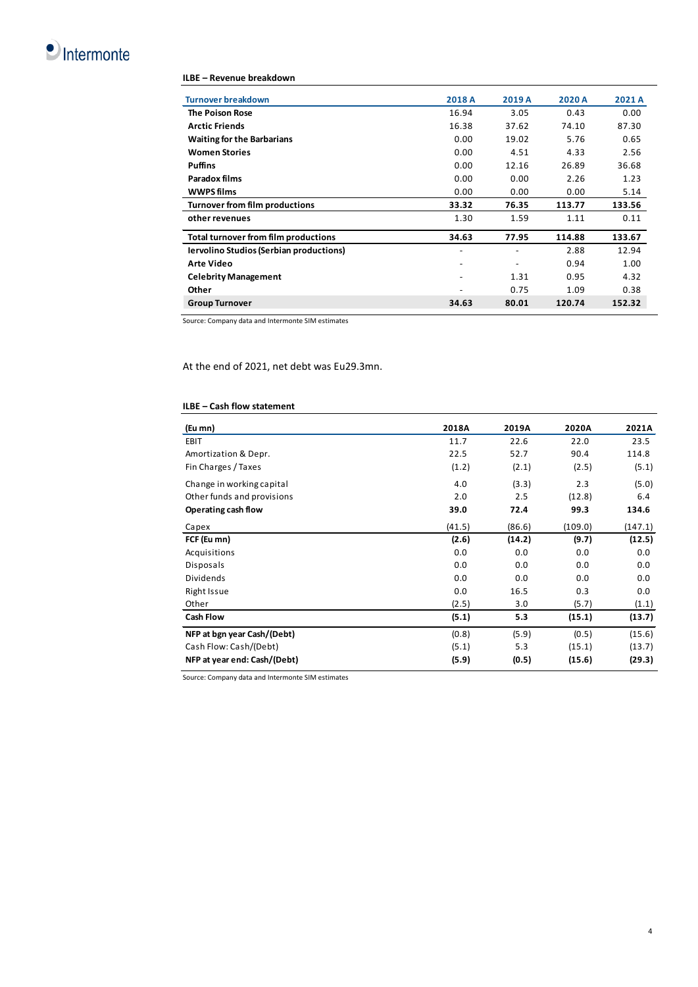

## **ILBE – Revenue breakdown**

| <b>Turnover breakdown</b>                      | 2018 A                       | 2019 A | 2020 A | 2021 A |
|------------------------------------------------|------------------------------|--------|--------|--------|
| <b>The Poison Rose</b>                         | 16.94                        | 3.05   | 0.43   | 0.00   |
| <b>Arctic Friends</b>                          | 16.38                        | 37.62  | 74.10  | 87.30  |
| <b>Waiting for the Barbarians</b>              | 0.00                         | 19.02  | 5.76   | 0.65   |
| <b>Women Stories</b>                           | 0.00                         | 4.51   | 4.33   | 2.56   |
| <b>Puffins</b>                                 | 0.00                         | 12.16  | 26.89  | 36.68  |
| Paradox films                                  | 0.00                         | 0.00   | 2.26   | 1.23   |
| <b>WWPS films</b>                              | 0.00                         | 0.00   | 0.00   | 5.14   |
| Turnover from film productions                 | 33.32                        | 76.35  | 113.77 | 133.56 |
| other revenues                                 | 1.30                         | 1.59   | 1.11   | 0.11   |
| Total turnover from film productions           | 34.63                        | 77.95  | 114.88 | 133.67 |
| <b>Iervolino Studios (Serbian productions)</b> | $\overline{a}$               |        | 2.88   | 12.94  |
| <b>Arte Video</b>                              | $\overline{a}$               |        | 0.94   | 1.00   |
| <b>Celebrity Management</b>                    | $\qquad \qquad \blacksquare$ | 1.31   | 0.95   | 4.32   |
| Other                                          |                              | 0.75   | 1.09   | 0.38   |
| <b>Group Turnover</b>                          | 34.63                        | 80.01  | 120.74 | 152.32 |

Source: Company data and Intermonte SIM estimates

At the end of 2021, net debt was Eu29.3mn.

# **ILBE – Cash flow statement**

| (Eu mn)                      | 2018A  | 2019A  | 2020A   | 2021A   |
|------------------------------|--------|--------|---------|---------|
| <b>EBIT</b>                  | 11.7   | 22.6   | 22.0    | 23.5    |
| Amortization & Depr.         | 22.5   | 52.7   | 90.4    | 114.8   |
| Fin Charges / Taxes          | (1.2)  | (2.1)  | (2.5)   | (5.1)   |
| Change in working capital    | 4.0    | (3.3)  | 2.3     | (5.0)   |
| Other funds and provisions   | 2.0    | 2.5    | (12.8)  | 6.4     |
| Operating cash flow          | 39.0   | 72.4   | 99.3    | 134.6   |
| Capex                        | (41.5) | (86.6) | (109.0) | (147.1) |
| FCF (Eu mn)                  | (2.6)  | (14.2) | (9.7)   | (12.5)  |
| Acquisitions                 | 0.0    | 0.0    | 0.0     | 0.0     |
| Disposals                    | 0.0    | 0.0    | 0.0     | 0.0     |
| Dividends                    | 0.0    | 0.0    | 0.0     | 0.0     |
| Right Issue                  | 0.0    | 16.5   | 0.3     | 0.0     |
| Other                        | (2.5)  | 3.0    | (5.7)   | (1.1)   |
| <b>Cash Flow</b>             | (5.1)  | 5.3    | (15.1)  | (13.7)  |
| NFP at bgn year Cash/(Debt)  | (0.8)  | (5.9)  | (0.5)   | (15.6)  |
| Cash Flow: Cash/(Debt)       | (5.1)  | 5.3    | (15.1)  | (13.7)  |
| NFP at year end: Cash/(Debt) | (5.9)  | (0.5)  | (15.6)  | (29.3)  |

Source: Company data and Intermonte SIM estimates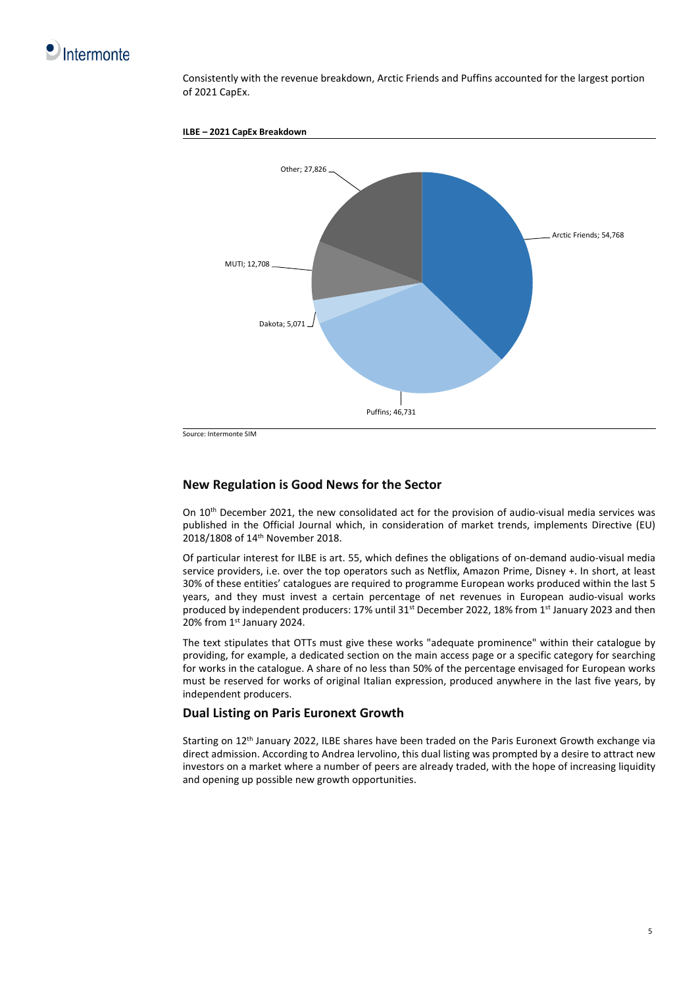

Consistently with the revenue breakdown, Arctic Friends and Puffins accounted for the largest portion of 2021 CapEx.





Source: Intermonte SIM

# **New Regulation is Good News for the Sector**

On 10<sup>th</sup> December 2021, the new consolidated act for the provision of audio-visual media services was published in the Official Journal which, in consideration of market trends, implements Directive (EU) 2018/1808 of 14th November 2018.

Of particular interest for ILBE is art. 55, which defines the obligations of on-demand audio-visual media service providers, i.e. over the top operators such as Netflix, Amazon Prime, Disney +. In short, at least 30% of these entities' catalogues are required to programme European works produced within the last 5 years, and they must invest a certain percentage of net revenues in European audio-visual works produced by independent producers: 17% until 31st December 2022, 18% from 1st January 2023 and then 20% from 1st January 2024.

The text stipulates that OTTs must give these works "adequate prominence" within their catalogue by providing, for example, a dedicated section on the main access page or a specific category for searching for works in the catalogue. A share of no less than 50% of the percentage envisaged for European works must be reserved for works of original Italian expression, produced anywhere in the last five years, by independent producers.

## **Dual Listing on Paris Euronext Growth**

Starting on 12th January 2022, ILBE shares have been traded on the Paris Euronext Growth exchange via direct admission. According to Andrea Iervolino, this dual listing was prompted by a desire to attract new investors on a market where a number of peers are already traded, with the hope of increasing liquidity and opening up possible new growth opportunities.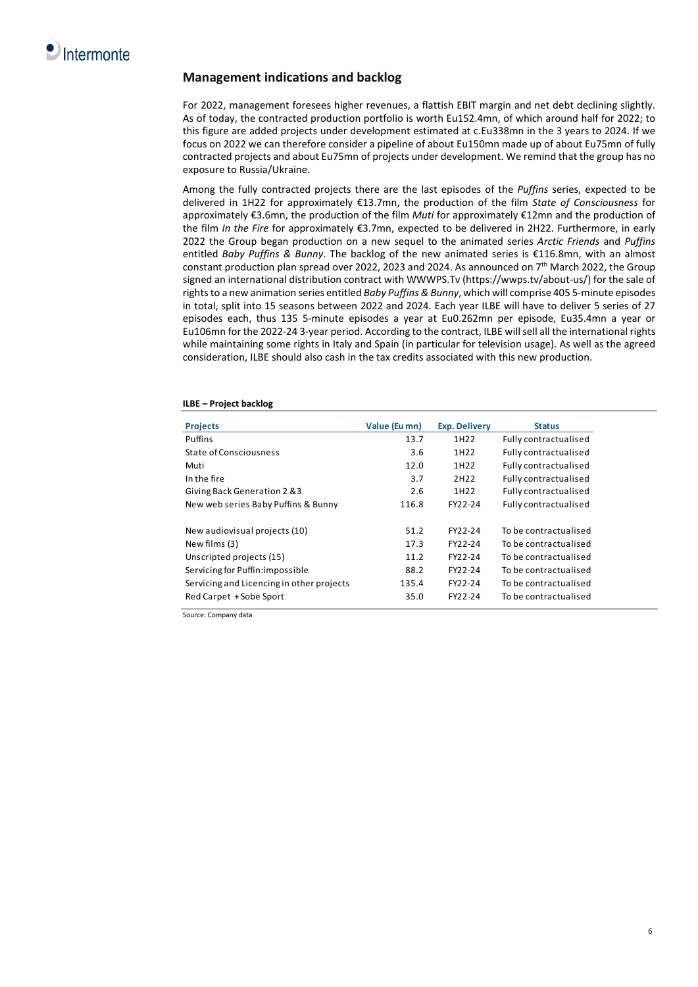# **Management indications and backlog**

For 2022, management foresees higher revenues, a flattish EBIT margin and net debt declining slightly. As of today, the contracted production portfolio is worth Eu152.4mn, of which around half for 2022; to this figure are added projects under development estimated at c.Eu338mn in the 3 years to 2024. If we focus on 2022 we can therefore consider a pipeline of about Eu150mn made up of about Eu75mn of fully contracted projects and about Eu75mn of projects under development. We remind that the group has no exposure to Russia/Ukraine.

Among the fully contracted projects there are the last episodes of the *Puffins* series, expected to be delivered in 1H22 for approximately €13.7mn, the production of the film *State of Consciousness* for approximately €3.6mn, the production of the film *Muti* for approximately €12mn and the production of the film *In the Fire* for approximately €3.7mn, expected to be delivered in 2H22. Furthermore, in early 2022 the Group began production on a new sequel to the animated series *Arctic Friends* and *Puffins*  entitled *Baby Puffins & Bunny*. The backlog of the new animated series is €116.8mn, with an almost constant production plan spread over 2022, 2023 and 2024. As announced on 7th March 2022, the Group signed an international distribution contract with WWWPS.Tv (https://wwps.tv/about-us/) for the sale of rights to a new animation series entitled *Baby Puffins & Bunny*, which will comprise 405 5-minute episodes in total, split into 15 seasons between 2022 and 2024. Each year ILBE will have to deliver 5 series of 27 episodes each, thus 135 5-minute episodes a year at Eu0.262mn per episode, Eu35.4mn a year or Eu106mn for the 2022-24 3-year period. According to the contract, ILBE will sell all the international rights while maintaining some rights in Italy and Spain (in particular for television usage). As well as the agreed consideration, ILBE should also cash in the tax credits associated with this new production.

| <b>Projects</b>                           | Value (Eu mn) | <b>Exp. Delivery</b> | <b>Status</b>         |
|-------------------------------------------|---------------|----------------------|-----------------------|
| Puffins                                   | 13.7          | 1H22                 | Fully contractualised |
| State of Consciousness                    | 3.6           | 1H22                 | Fully contractualised |
| Muti                                      | 12.0          | 1H22                 | Fully contractualised |
| In the fire                               | 3.7           | 2H22                 | Fully contractualised |
| Giving Back Generation 2 & 3              | 2.6           | 1H22                 | Fully contractualised |
| New web series Baby Puffins & Bunny       | 116.8         | FY22-24              | Fully contractualised |
| New audiovisual projects (10)             | 51.2          | FY22-24              | To be contractualised |
| New films (3)                             | 17.3          | FY22-24              | To be contractualised |
| Unscripted projects (15)                  | 11.2          | FY22-24              | To be contractualised |
| Servicing for Puffin: impossible          | 88.2          | FY22-24              | To be contractualised |
| Servicing and Licencing in other projects | 135.4         | FY22-24              | To be contractualised |
| Red Carpet + Sobe Sport                   | 35.0          | FY22-24              | To be contractualised |

#### **ILBE – Project backlog**

Source: Company data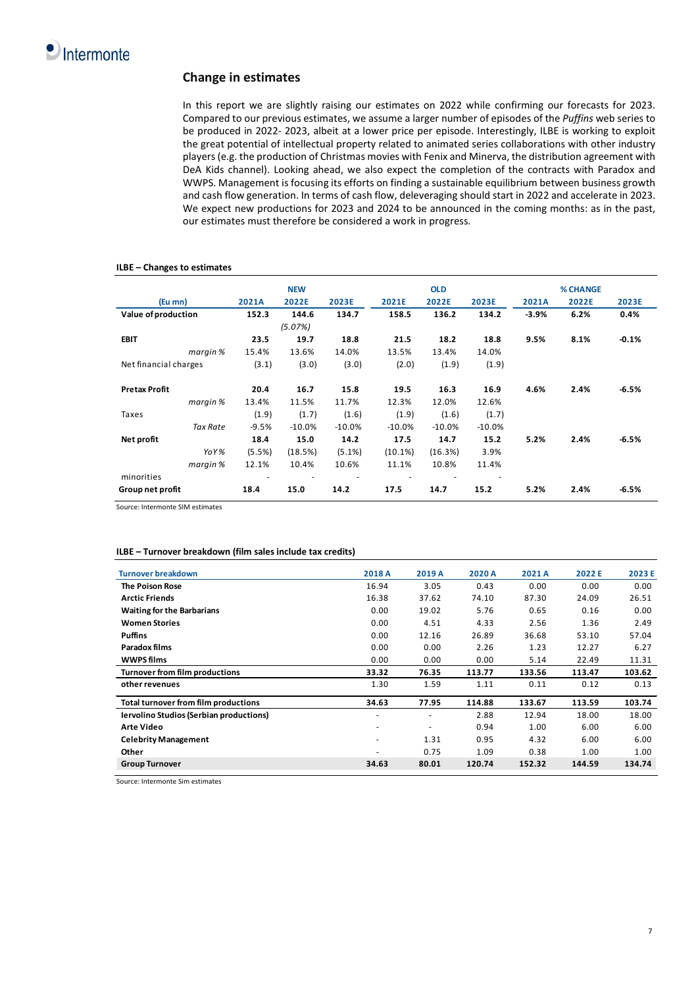# **Change in estimates**

In this report we are slightly raising our estimates on 2022 while confirming our forecasts for 2023. Compared to our previous estimates, we assume a larger number of episodes of the *Puffins* web series to be produced in 2022- 2023, albeit at a lower price per episode. Interestingly, ILBE is working to exploit the great potential of intellectual property related to animated series collaborations with other industry players (e.g. the production of Christmas movies with Fenix and Minerva, the distribution agreement with DeA Kids channel). Looking ahead, we also expect the completion of the contracts with Paradox and WWPS. Management is focusing its efforts on finding a sustainable equilibrium between business growth and cash flow generation. In terms of cash flow, deleveraging should start in 2022 and accelerate in 2023. We expect new productions for 2023 and 2024 to be announced in the coming months: as in the past, our estimates must therefore be considered a work in progress.

### **ILBE – Changes to estimates**

|                       |         | <b>NEW</b> |           |           | <b>OLD</b> |          |         | <b>% CHANGE</b> |         |
|-----------------------|---------|------------|-----------|-----------|------------|----------|---------|-----------------|---------|
| (Eu mn)               | 2021A   | 2022E      | 2023E     | 2021E     | 2022E      | 2023E    | 2021A   | 2022E           | 2023E   |
| Value of production   | 152.3   | 144.6      | 134.7     | 158.5     | 136.2      | 134.2    | $-3.9%$ | 6.2%            | 0.4%    |
|                       |         | (5.07%)    |           |           |            |          |         |                 |         |
| <b>EBIT</b>           | 23.5    | 19.7       | 18.8      | 21.5      | 18.2       | 18.8     | 9.5%    | 8.1%            | $-0.1%$ |
| margin %              | 15.4%   | 13.6%      | 14.0%     | 13.5%     | 13.4%      | 14.0%    |         |                 |         |
| Net financial charges | (3.1)   | (3.0)      | (3.0)     | (2.0)     | (1.9)      | (1.9)    |         |                 |         |
|                       |         |            |           |           |            |          |         |                 |         |
| <b>Pretax Profit</b>  | 20.4    | 16.7       | 15.8      | 19.5      | 16.3       | 16.9     | 4.6%    | 2.4%            | $-6.5%$ |
| margin %              | 13.4%   | 11.5%      | 11.7%     | 12.3%     | 12.0%      | 12.6%    |         |                 |         |
| Taxes                 | (1.9)   | (1.7)      | (1.6)     | (1.9)     | (1.6)      | (1.7)    |         |                 |         |
| Tax Rate              | $-9.5%$ | $-10.0%$   | $-10.0%$  | $-10.0\%$ | $-10.0\%$  | $-10.0%$ |         |                 |         |
| Net profit            | 18.4    | 15.0       | 14.2      | 17.5      | 14.7       | 15.2     | 5.2%    | 2.4%            | $-6.5%$ |
| YoY%                  | (5.5%)  | (18.5%)    | $(5.1\%)$ | (10.1%)   | (16.3%)    | 3.9%     |         |                 |         |
| margin %              | 12.1%   | 10.4%      | 10.6%     | 11.1%     | 10.8%      | 11.4%    |         |                 |         |
| minorities            |         |            |           |           |            |          |         |                 |         |
| Group net profit      | 18.4    | 15.0       | 14.2      | 17.5      | 14.7       | 15.2     | 5.2%    | 2.4%            | $-6.5%$ |

Source: Intermonte SIM estimates

### **ILBE – Turnover breakdown (film sales include tax credits)**

| <b>Turnover breakdown</b>                      | 2018 A                   | 2019 A                   | 2020 A | 2021 A | 2022 E | 2023 E |
|------------------------------------------------|--------------------------|--------------------------|--------|--------|--------|--------|
| <b>The Poison Rose</b>                         | 16.94                    | 3.05                     | 0.43   | 0.00   | 0.00   | 0.00   |
| <b>Arctic Friends</b>                          | 16.38                    | 37.62                    | 74.10  | 87.30  | 24.09  | 26.51  |
| <b>Waiting for the Barbarians</b>              | 0.00                     | 19.02                    | 5.76   | 0.65   | 0.16   | 0.00   |
| <b>Women Stories</b>                           | 0.00                     | 4.51                     | 4.33   | 2.56   | 1.36   | 2.49   |
| <b>Puffins</b>                                 | 0.00                     | 12.16                    | 26.89  | 36.68  | 53.10  | 57.04  |
| Paradox films                                  | 0.00                     | 0.00                     | 2.26   | 1.23   | 12.27  | 6.27   |
| <b>WWPS films</b>                              | 0.00                     | 0.00                     | 0.00   | 5.14   | 22.49  | 11.31  |
| Turnover from film productions                 | 33.32                    | 76.35                    | 113.77 | 133.56 | 113.47 | 103.62 |
| other revenues                                 | 1.30                     | 1.59                     | 1.11   | 0.11   | 0.12   | 0.13   |
| Total turnover from film productions           | 34.63                    | 77.95                    | 114.88 | 133.67 | 113.59 | 103.74 |
| <b>Iervolino Studios (Serbian productions)</b> | $\sim$                   | ٠                        | 2.88   | 12.94  | 18.00  | 18.00  |
| <b>Arte Video</b>                              | ٠                        | $\overline{\phantom{a}}$ | 0.94   | 1.00   | 6.00   | 6.00   |
| <b>Celebrity Management</b>                    | $\overline{\phantom{a}}$ | 1.31                     | 0.95   | 4.32   | 6.00   | 6.00   |
| Other                                          | ٠                        | 0.75                     | 1.09   | 0.38   | 1.00   | 1.00   |
| <b>Group Turnover</b>                          | 34.63                    | 80.01                    | 120.74 | 152.32 | 144.59 | 134.74 |

Source: Intermonte Sim estimates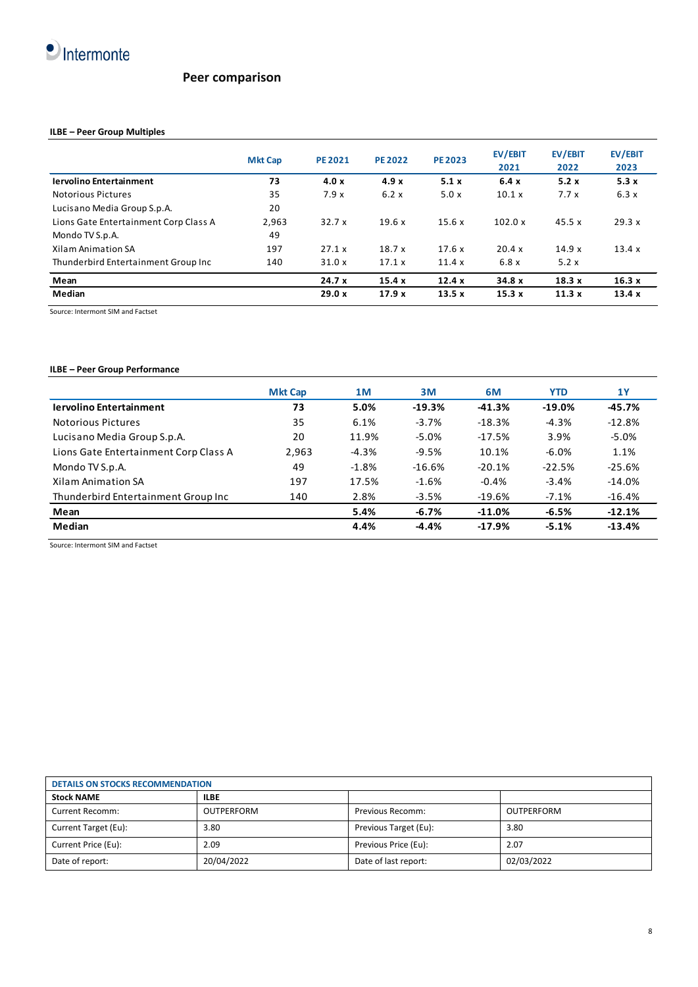

# **Peer comparison**

# **ILBE – Peer Group Multiples**

|                                       | <b>Mkt Cap</b> | <b>PE 2021</b> | <b>PE 2022</b> | <b>PE 2023</b> | EV/EBIT<br>2021 | EV/EBIT<br>2022 | EV/EBIT<br>2023 |
|---------------------------------------|----------------|----------------|----------------|----------------|-----------------|-----------------|-----------------|
| <b>Iervolino Entertainment</b>        | 73             | 4.0x           | 4.9x           | 5.1x           | 6.4x            | 5.2x            | 5.3x            |
| <b>Notorious Pictures</b>             | 35             | 7.9x           | 6.2x           | 5.0x           | 10.1 x          | 7.7x            | 6.3x            |
| Lucisano Media Group S.p.A.           | 20             |                |                |                |                 |                 |                 |
| Lions Gate Entertainment Corp Class A | 2.963          | 32.7x          | 19.6x          | 15.6x          | 102.0 x         | 45.5x           | 29.3 x          |
| Mondo TV S.p.A.                       | 49             |                |                |                |                 |                 |                 |
| Xilam Animation SA                    | 197            | 27.1 x         | 18.7x          | 17.6x          | 20.4 x          | 14.9x           | 13.4 x          |
| Thunderbird Entertainment Group Inc   | 140            | 31.0x          | 17.1x          | 11.4x          | 6.8x            | 5.2x            |                 |
| Mean                                  |                | 24.7x          | 15.4x          | 12.4x          | 34.8x           | 18.3x           | 16.3x           |
| Median                                |                | 29.0 x         | 17.9x          | 13.5x          | 15.3x           | 11.3x           | 13.4x           |

Source: Intermont SIM and Factset

# **ILBE – Peer Group Performance**

|                                       | <b>Mkt Cap</b> | 1M      | 3M       | 6M       | <b>YTD</b> | 1Y       |
|---------------------------------------|----------------|---------|----------|----------|------------|----------|
| <b>Iervolino Entertainment</b>        | 73             | 5.0%    | $-19.3%$ | $-41.3%$ | $-19.0%$   | $-45.7%$ |
| Notorious Pictures                    | 35             | 6.1%    | $-3.7%$  | $-18.3%$ | $-4.3%$    | $-12.8%$ |
| Lucisano Media Group S.p.A.           | 20             | 11.9%   | $-5.0%$  | $-17.5%$ | 3.9%       | $-5.0%$  |
| Lions Gate Entertainment Corp Class A | 2,963          | $-4.3%$ | $-9.5%$  | 10.1%    | $-6.0%$    | 1.1%     |
| Mondo TV S.p.A.                       | 49             | $-1.8%$ | $-16.6%$ | $-20.1%$ | $-22.5%$   | $-25.6%$ |
| Xilam Animation SA                    | 197            | 17.5%   | $-1.6%$  | $-0.4%$  | $-3.4%$    | $-14.0%$ |
| Thunderbird Entertainment Group Inc   | 140            | 2.8%    | $-3.5%$  | $-19.6%$ | $-7.1%$    | $-16.4%$ |
| Mean                                  |                | 5.4%    | $-6.7%$  | $-11.0%$ | $-6.5%$    | $-12.1%$ |
| Median                                |                | 4.4%    | $-4.4%$  | $-17.9%$ | $-5.1%$    | $-13.4%$ |

Source: Intermont SIM and Factset

| <b>DETAILS ON STOCKS RECOMMENDATION</b> |             |                       |            |  |  |
|-----------------------------------------|-------------|-----------------------|------------|--|--|
| <b>Stock NAME</b>                       | <b>ILBE</b> |                       |            |  |  |
| Current Recomm:                         | OUTPERFORM  | Previous Recomm:      | OUTPERFORM |  |  |
| Current Target (Eu):                    | 3.80        | Previous Target (Eu): | 3.80       |  |  |
| Current Price (Eu):                     | 2.09        | Previous Price (Eu):  | 2.07       |  |  |
| Date of report:                         | 20/04/2022  | Date of last report:  | 02/03/2022 |  |  |